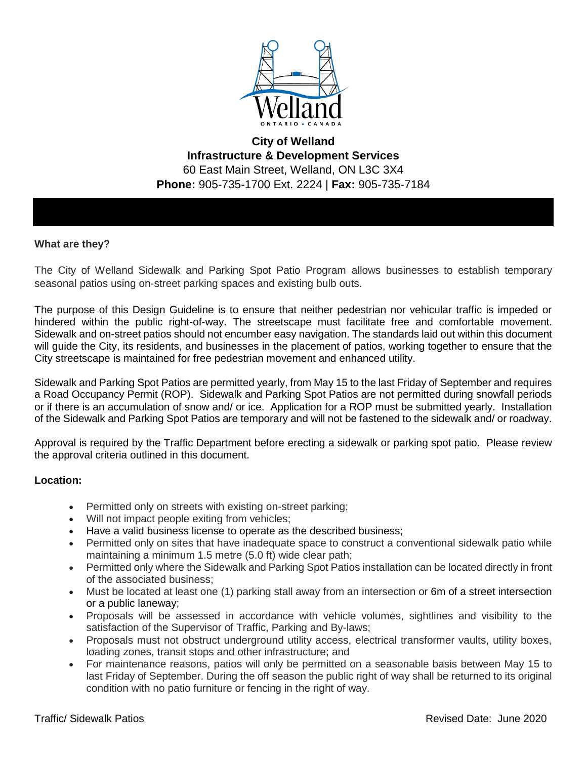

# **City of Welland Infrastructure & Development Services**  60 East Main Street, Welland, ON L3C 3X4 **Phone:** 905-735-1700 Ext. 2224 | **Fax:** 905-735-7184

### **What are they?**

The City of Welland Sidewalk and Parking Spot Patio Program allows businesses to establish temporary seasonal patios using on-street parking spaces and existing bulb outs.

The purpose of this Design Guideline is to ensure that neither pedestrian nor vehicular traffic is impeded or hindered within the public right-of-way. The streetscape must facilitate free and comfortable movement. Sidewalk and on-street patios should not encumber easy navigation. The standards laid out within this document will guide the City, its residents, and businesses in the placement of patios, working together to ensure that the City streetscape is maintained for free pedestrian movement and enhanced utility.

Sidewalk and Parking Spot Patios are permitted yearly, from May 15 to the last Friday of September and requires a Road Occupancy Permit (ROP). Sidewalk and Parking Spot Patios are not permitted during snowfall periods or if there is an accumulation of snow and/ or ice. Application for a ROP must be submitted yearly. Installation of the Sidewalk and Parking Spot Patios are temporary and will not be fastened to the sidewalk and/ or roadway.

Approval is required by the Traffic Department before erecting a sidewalk or parking spot patio. Please review the approval criteria outlined in this document.

### **Location:**

- Permitted only on streets with existing on-street parking;
- Will not impact people exiting from vehicles;
- Have a valid business license to operate as the described business;
- Permitted only on sites that have inadequate space to construct a conventional sidewalk patio while maintaining a minimum 1.5 metre (5.0 ft) wide clear path;
- Permitted only where the Sidewalk and Parking Spot Patios installation can be located directly in front of the associated business;
- Must be located at least one (1) parking stall away from an intersection or 6m of a street intersection or a public laneway;
- Proposals will be assessed in accordance with vehicle volumes, sightlines and visibility to the satisfaction of the Supervisor of Traffic, Parking and By-laws;
- Proposals must not obstruct underground utility access, electrical transformer vaults, utility boxes, loading zones, transit stops and other infrastructure; and
- For maintenance reasons, patios will only be permitted on a seasonable basis between May 15 to last Friday of September. During the off season the public right of way shall be returned to its original condition with no patio furniture or fencing in the right of way.